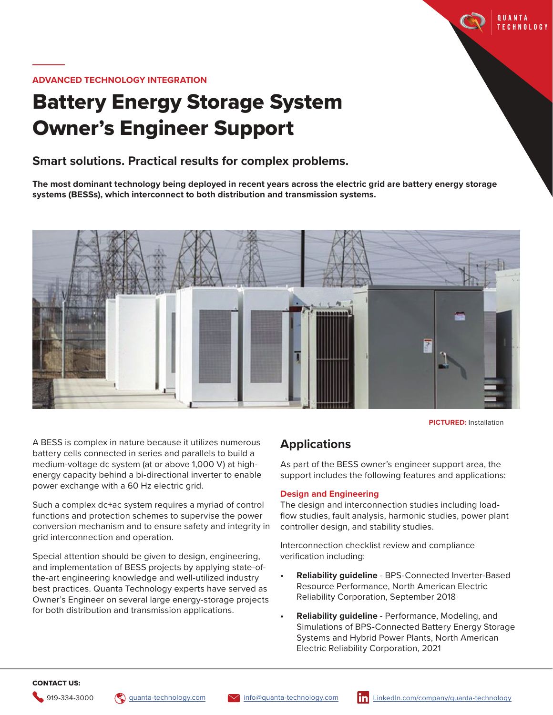

## **ADVANCED TECHNOLOGY INTEGRATION**

# Battery Energy Storage System Owner's Engineer Support

# **Smart solutions. Practical results for complex problems.**

**The most dominant technology being deployed in recent years across the electric grid are battery energy storage systems (BESSs), which interconnect to both distribution and transmission systems.**



**PICTURED:** Installation

A BESS is complex in nature because it utilizes numerous battery cells connected in series and parallels to build a medium-voltage dc system (at or above 1,000 V) at highenergy capacity behind a bi-directional inverter to enable power exchange with a 60 Hz electric grid.

Such a complex dc+ac system requires a myriad of control functions and protection schemes to supervise the power conversion mechanism and to ensure safety and integrity in grid interconnection and operation.

Special attention should be given to design, engineering, and implementation of BESS projects by applying state-ofthe-art engineering knowledge and well-utilized industry best practices. Quanta Technology experts have served as Owner's Engineer on several large energy-storage projects for both distribution and transmission applications.

# **Applications**

As part of the BESS owner's engineer support area, the support includes the following features and applications:

#### **Design and Engineering**

The design and interconnection studies including loadflow studies, fault analysis, harmonic studies, power plant controller design, and stability studies.

Interconnection checklist review and compliance verification including:

- **• Reliability guideline** BPS-Connected Inverter-Based Resource Performance, North American Electric Reliability Corporation, September 2018
- **• Reliability guideline** Performance, Modeling, and Simulations of BPS-Connected Battery Energy Storage Systems and Hybrid Power Plants, North American Electric Reliability Corporation, 2021

# CONTACT US: